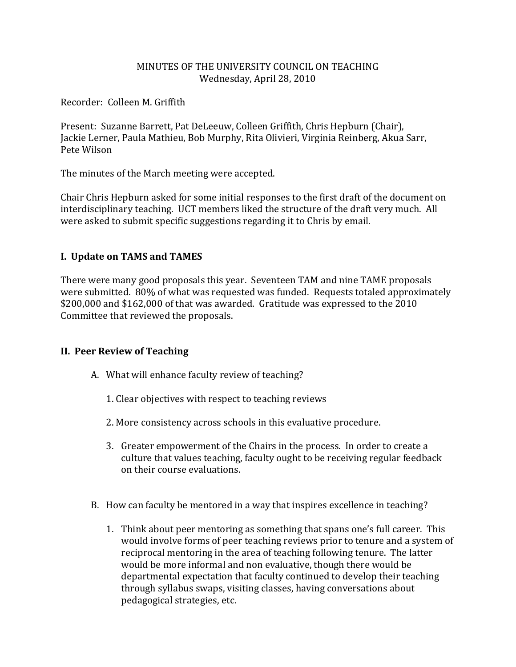## MINUTES OF THE UNIVERSITY COUNCIL ON TEACHING Wednesday, April 28, 2010

Recorder: Colleen M. Griffith

Present: Suzanne Barrett, Pat DeLeeuw, Colleen Griffith, Chris Hepburn (Chair), Jackie Lerner, Paula Mathieu, Bob Murphy, Rita Olivieri, Virginia Reinberg, Akua Sarr, Pete Wilson

The minutes of the March meeting were accepted.

Chair Chris Hepburn asked for some initial responses to the first draft of the document on interdisciplinary teaching. UCT members liked the structure of the draft very much. All were asked to submit specific suggestions regarding it to Chris by email.

## **I. Update on TAMS and TAMES**

There were many good proposals this year. Seventeen TAM and nine TAME proposals were submitted. 80% of what was requested was funded. Requests totaled approximately \$200,000 and \$162,000 of that was awarded. Gratitude was expressed to the 2010 Committee that reviewed the proposals.

## **II. Peer Review of Teaching**

- A. What will enhance faculty review of teaching?
	- 1. Clear objectives with respect to teaching reviews
	- 2. More consistency across schools in this evaluative procedure.
	- 3. Greater empowerment of the Chairs in the process. In order to create a culture that values teaching, faculty ought to be receiving regular feedback on their course evaluations.
- B. How can faculty be mentored in a way that inspires excellence in teaching?
	- 1. Think about peer mentoring as something that spans one's full career. This would involve forms of peer teaching reviews prior to tenure and a system of reciprocal mentoring in the area of teaching following tenure. The latter would be more informal and non evaluative, though there would be departmental expectation that faculty continued to develop their teaching through syllabus swaps, visiting classes, having conversations about pedagogical strategies, etc.